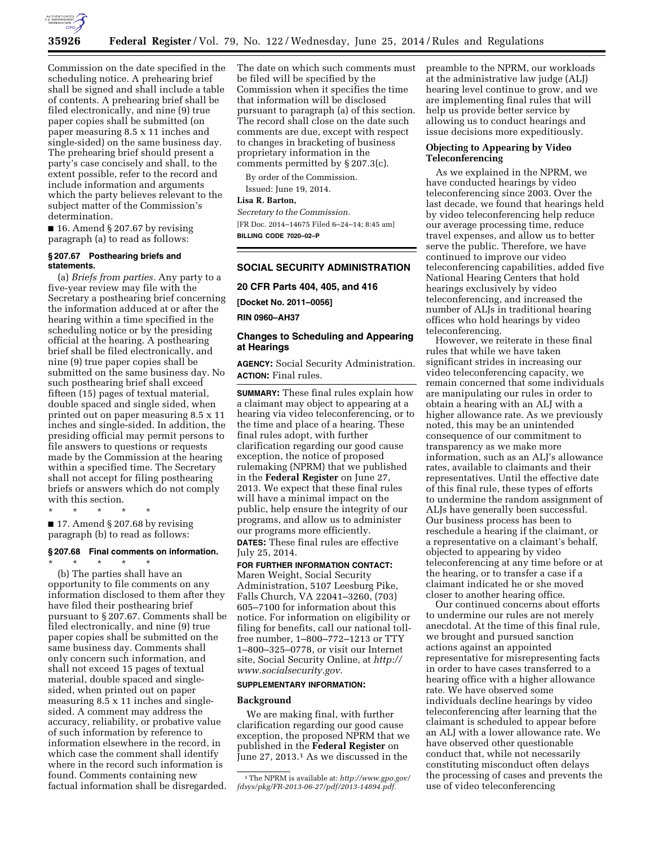

Commission on the date specified in the scheduling notice. A prehearing brief shall be signed and shall include a table of contents. A prehearing brief shall be filed electronically, and nine (9) true paper copies shall be submitted (on paper measuring 8.5 x 11 inches and single-sided) on the same business day. The prehearing brief should present a party's case concisely and shall, to the extent possible, refer to the record and include information and arguments which the party believes relevant to the subject matter of the Commission's determination.

 $\blacksquare$  16. Amend § 207.67 by revising paragraph (a) to read as follows:

#### **§ 207.67 Posthearing briefs and statements.**

(a) *Briefs from parties.* Any party to a five-year review may file with the Secretary a posthearing brief concerning the information adduced at or after the hearing within a time specified in the scheduling notice or by the presiding official at the hearing. A posthearing brief shall be filed electronically, and nine (9) true paper copies shall be submitted on the same business day. No such posthearing brief shall exceed fifteen (15) pages of textual material, double spaced and single sided, when printed out on paper measuring 8.5 x 11 inches and single-sided. In addition, the presiding official may permit persons to file answers to questions or requests made by the Commission at the hearing within a specified time. The Secretary shall not accept for filing posthearing briefs or answers which do not comply with this section.

\* \* \* \* \*

 $\blacksquare$  17. Amend § 207.68 by revising paragraph (b) to read as follows:

### **§ 207.68 Final comments on information.**

\* \* \* \* \* (b) The parties shall have an opportunity to file comments on any information disclosed to them after they have filed their posthearing brief pursuant to § 207.67. Comments shall be filed electronically, and nine (9) true paper copies shall be submitted on the same business day. Comments shall only concern such information, and shall not exceed 15 pages of textual material, double spaced and singlesided, when printed out on paper measuring 8.5 x 11 inches and singlesided. A comment may address the accuracy, reliability, or probative value of such information by reference to information elsewhere in the record, in which case the comment shall identify where in the record such information is found. Comments containing new factual information shall be disregarded.

The date on which such comments must be filed will be specified by the Commission when it specifies the time that information will be disclosed pursuant to paragraph (a) of this section. The record shall close on the date such comments are due, except with respect to changes in bracketing of business proprietary information in the comments permitted by § 207.3(c).

By order of the Commission.

Issued: June 19, 2014.

## **Lisa R. Barton,**

*Secretary to the Commission.*  [FR Doc. 2014–14675 Filed 6–24–14; 8:45 am] **BILLING CODE 7020–02–P** 

## **SOCIAL SECURITY ADMINISTRATION**

**20 CFR Parts 404, 405, and 416** 

**[Docket No. 2011–0056]** 

**RIN 0960–AH37** 

## **Changes to Scheduling and Appearing at Hearings**

**AGENCY:** Social Security Administration. **ACTION:** Final rules.

**SUMMARY:** These final rules explain how a claimant may object to appearing at a hearing via video teleconferencing, or to the time and place of a hearing. These final rules adopt, with further clarification regarding our good cause exception, the notice of proposed rulemaking (NPRM) that we published in the **Federal Register** on June 27, 2013. We expect that these final rules will have a minimal impact on the public, help ensure the integrity of our programs, and allow us to administer our programs more efficiently.

**DATES:** These final rules are effective July 25, 2014.

# **FOR FURTHER INFORMATION CONTACT:**

Maren Weight, Social Security Administration, 5107 Leesburg Pike, Falls Church, VA 22041–3260, (703) 605–7100 for information about this notice. For information on eligibility or filing for benefits, call our national tollfree number, 1–800–772–1213 or TTY 1–800–325–0778, or visit our Internet site, Social Security Online, at *[http://](http://www.socialsecurity.gov) [www.socialsecurity.gov.](http://www.socialsecurity.gov)* 

#### **SUPPLEMENTARY INFORMATION:**

#### **Background**

We are making final, with further clarification regarding our good cause exception, the proposed NPRM that we published in the **Federal Register** on June 27, 2013.1 As we discussed in the

preamble to the NPRM, our workloads at the administrative law judge (ALJ) hearing level continue to grow, and we are implementing final rules that will help us provide better service by allowing us to conduct hearings and issue decisions more expeditiously.

## **Objecting to Appearing by Video Teleconferencing**

As we explained in the NPRM, we have conducted hearings by video teleconferencing since 2003. Over the last decade, we found that hearings held by video teleconferencing help reduce our average processing time, reduce travel expenses, and allow us to better serve the public. Therefore, we have continued to improve our video teleconferencing capabilities, added five National Hearing Centers that hold hearings exclusively by video teleconferencing, and increased the number of ALJs in traditional hearing offices who hold hearings by video teleconferencing.

However, we reiterate in these final rules that while we have taken significant strides in increasing our video teleconferencing capacity, we remain concerned that some individuals are manipulating our rules in order to obtain a hearing with an ALJ with a higher allowance rate. As we previously noted, this may be an unintended consequence of our commitment to transparency as we make more information, such as an ALJ's allowance rates, available to claimants and their representatives. Until the effective date of this final rule, these types of efforts to undermine the random assignment of ALJs have generally been successful. Our business process has been to reschedule a hearing if the claimant, or a representative on a claimant's behalf, objected to appearing by video teleconferencing at any time before or at the hearing, or to transfer a case if a claimant indicated he or she moved closer to another hearing office.

Our continued concerns about efforts to undermine our rules are not merely anecdotal. At the time of this final rule, we brought and pursued sanction actions against an appointed representative for misrepresenting facts in order to have cases transferred to a hearing office with a higher allowance rate. We have observed some individuals decline hearings by video teleconferencing after learning that the claimant is scheduled to appear before an ALJ with a lower allowance rate. We have observed other questionable conduct that, while not necessarily constituting misconduct often delays the processing of cases and prevents the use of video teleconferencing

<sup>1</sup>The NPRM is available at: *[http://www.gpo.gov/](http://www.gpo.gov/fdsys/pkg/FR-2013-06-27/pdf/2013-14894.pdf) [fdsys/pkg/FR-2013-06-27/pdf/2013-14894.pdf.](http://www.gpo.gov/fdsys/pkg/FR-2013-06-27/pdf/2013-14894.pdf)*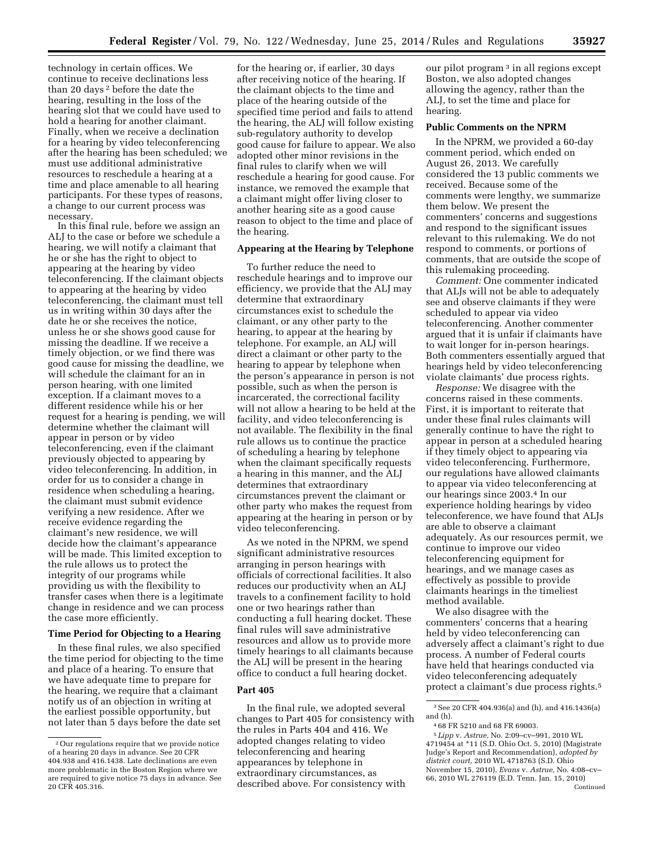technology in certain offices. We continue to receive declinations less than 20 days 2 before the date the hearing, resulting in the loss of the hearing slot that we could have used to hold a hearing for another claimant. Finally, when we receive a declination for a hearing by video teleconferencing after the hearing has been scheduled; we must use additional administrative resources to reschedule a hearing at a time and place amenable to all hearing participants. For these types of reasons, a change to our current process was necessary.

In this final rule, before we assign an ALJ to the case or before we schedule a hearing, we will notify a claimant that he or she has the right to object to appearing at the hearing by video teleconferencing. If the claimant objects to appearing at the hearing by video teleconferencing, the claimant must tell us in writing within 30 days after the date he or she receives the notice, unless he or she shows good cause for missing the deadline. If we receive a timely objection, or we find there was good cause for missing the deadline, we will schedule the claimant for an in person hearing, with one limited exception. If a claimant moves to a different residence while his or her request for a hearing is pending, we will determine whether the claimant will appear in person or by video teleconferencing, even if the claimant previously objected to appearing by video teleconferencing. In addition, in order for us to consider a change in residence when scheduling a hearing, the claimant must submit evidence verifying a new residence. After we receive evidence regarding the claimant's new residence, we will decide how the claimant's appearance will be made. This limited exception to the rule allows us to protect the integrity of our programs while providing us with the flexibility to transfer cases when there is a legitimate change in residence and we can process the case more efficiently.

## **Time Period for Objecting to a Hearing**

In these final rules, we also specified the time period for objecting to the time and place of a hearing. To ensure that we have adequate time to prepare for the hearing, we require that a claimant notify us of an objection in writing at the earliest possible opportunity, but not later than 5 days before the date set

for the hearing or, if earlier, 30 days after receiving notice of the hearing. If the claimant objects to the time and place of the hearing outside of the specified time period and fails to attend the hearing, the ALJ will follow existing sub-regulatory authority to develop good cause for failure to appear. We also adopted other minor revisions in the final rules to clarify when we will reschedule a hearing for good cause. For instance, we removed the example that a claimant might offer living closer to another hearing site as a good cause reason to object to the time and place of the hearing.

#### **Appearing at the Hearing by Telephone**

To further reduce the need to reschedule hearings and to improve our efficiency, we provide that the ALJ may determine that extraordinary circumstances exist to schedule the claimant, or any other party to the hearing, to appear at the hearing by telephone. For example, an ALJ will direct a claimant or other party to the hearing to appear by telephone when the person's appearance in person is not possible, such as when the person is incarcerated, the correctional facility will not allow a hearing to be held at the facility, and video teleconferencing is not available. The flexibility in the final rule allows us to continue the practice of scheduling a hearing by telephone when the claimant specifically requests a hearing in this manner, and the ALJ determines that extraordinary circumstances prevent the claimant or other party who makes the request from appearing at the hearing in person or by video teleconferencing.

As we noted in the NPRM, we spend significant administrative resources arranging in person hearings with officials of correctional facilities. It also reduces our productivity when an ALJ travels to a confinement facility to hold one or two hearings rather than conducting a full hearing docket. These final rules will save administrative resources and allow us to provide more timely hearings to all claimants because the ALJ will be present in the hearing office to conduct a full hearing docket.

#### **Part 405**

In the final rule, we adopted several changes to Part 405 for consistency with the rules in Parts 404 and 416. We adopted changes relating to video teleconferencing and hearing appearances by telephone in extraordinary circumstances, as described above. For consistency with

our pilot program 3 in all regions except Boston, we also adopted changes allowing the agency, rather than the ALJ, to set the time and place for hearing.

#### **Public Comments on the NPRM**

In the NPRM, we provided a 60-day comment period, which ended on August 26, 2013. We carefully considered the 13 public comments we received. Because some of the comments were lengthy, we summarize them below. We present the commenters' concerns and suggestions and respond to the significant issues relevant to this rulemaking. We do not respond to comments, or portions of comments, that are outside the scope of this rulemaking proceeding.

*Comment:* One commenter indicated that ALJs will not be able to adequately see and observe claimants if they were scheduled to appear via video teleconferencing. Another commenter argued that it is unfair if claimants have to wait longer for in-person hearings. Both commenters essentially argued that hearings held by video teleconferencing violate claimants' due process rights.

*Response:* We disagree with the concerns raised in these comments. First, it is important to reiterate that under these final rules claimants will generally continue to have the right to appear in person at a scheduled hearing if they timely object to appearing via video teleconferencing. Furthermore, our regulations have allowed claimants to appear via video teleconferencing at our hearings since 2003.4 In our experience holding hearings by video teleconference, we have found that ALJs are able to observe a claimant adequately. As our resources permit, we continue to improve our video teleconferencing equipment for hearings, and we manage cases as effectively as possible to provide claimants hearings in the timeliest method available.

We also disagree with the commenters' concerns that a hearing held by video teleconferencing can adversely affect a claimant's right to due process. A number of Federal courts have held that hearings conducted via video teleconferencing adequately protect a claimant's due process rights.5

<sup>2</sup>Our regulations require that we provide notice of a hearing 20 days in advance. See 20 CFR 404.938 and 416.1438. Late declinations are even more problematic in the Boston Region where we are required to give notice 75 days in advance. See 20 CFR 405.316.

<sup>3</sup>See 20 CFR 404.936(a) and (h), and 416.1436(a) and (h).

<sup>4</sup> 68 FR 5210 and 68 FR 69003.

<sup>5</sup> *Lipp* v. *Astrue,* No. 2:09–cv–991, 2010 WL 4719454 at \*11 (S.D. Ohio Oct. 5, 2010) (Magistrate Judge's Report and Recommendation), *adopted by district court,* 2010 WL 4718763 (S.D. Ohio November 15, 2010), *Evans* v. *Astrue,* No. 4:08–cv– 66, 2010 WL 276119 (E.D. Tenn. Jan. 15, 2010) Continued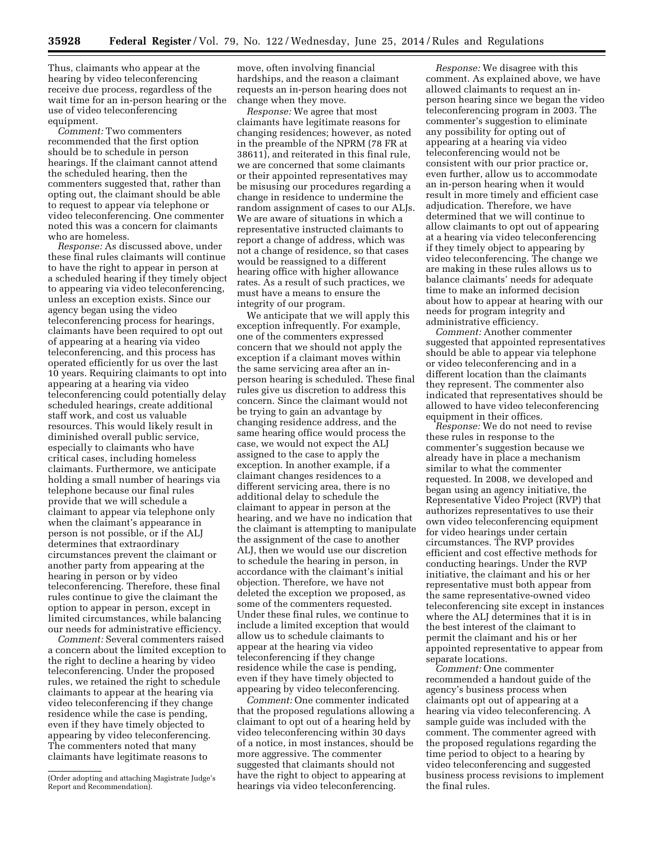Thus, claimants who appear at the hearing by video teleconferencing receive due process, regardless of the wait time for an in-person hearing or the use of video teleconferencing equipment.

*Comment:* Two commenters recommended that the first option should be to schedule in person hearings. If the claimant cannot attend the scheduled hearing, then the commenters suggested that, rather than opting out, the claimant should be able to request to appear via telephone or video teleconferencing. One commenter noted this was a concern for claimants who are homeless.

*Response:* As discussed above, under these final rules claimants will continue to have the right to appear in person at a scheduled hearing if they timely object to appearing via video teleconferencing, unless an exception exists. Since our agency began using the video teleconferencing process for hearings, claimants have been required to opt out of appearing at a hearing via video teleconferencing, and this process has operated efficiently for us over the last 10 years. Requiring claimants to opt into appearing at a hearing via video teleconferencing could potentially delay scheduled hearings, create additional staff work, and cost us valuable resources. This would likely result in diminished overall public service, especially to claimants who have critical cases, including homeless claimants. Furthermore, we anticipate holding a small number of hearings via telephone because our final rules provide that we will schedule a claimant to appear via telephone only when the claimant's appearance in person is not possible, or if the ALJ determines that extraordinary circumstances prevent the claimant or another party from appearing at the hearing in person or by video teleconferencing. Therefore, these final rules continue to give the claimant the option to appear in person, except in limited circumstances, while balancing our needs for administrative efficiency.

*Comment:* Several commenters raised a concern about the limited exception to the right to decline a hearing by video teleconferencing. Under the proposed rules, we retained the right to schedule claimants to appear at the hearing via video teleconferencing if they change residence while the case is pending, even if they have timely objected to appearing by video teleconferencing. The commenters noted that many claimants have legitimate reasons to

move, often involving financial hardships, and the reason a claimant requests an in-person hearing does not change when they move.

*Response:* We agree that most claimants have legitimate reasons for changing residences; however, as noted in the preamble of the NPRM (78 FR at 38611), and reiterated in this final rule, we are concerned that some claimants or their appointed representatives may be misusing our procedures regarding a change in residence to undermine the random assignment of cases to our ALJs. We are aware of situations in which a representative instructed claimants to report a change of address, which was not a change of residence, so that cases would be reassigned to a different hearing office with higher allowance rates. As a result of such practices, we must have a means to ensure the integrity of our program.

We anticipate that we will apply this exception infrequently. For example, one of the commenters expressed concern that we should not apply the exception if a claimant moves within the same servicing area after an inperson hearing is scheduled. These final rules give us discretion to address this concern. Since the claimant would not be trying to gain an advantage by changing residence address, and the same hearing office would process the case, we would not expect the ALJ assigned to the case to apply the exception. In another example, if a claimant changes residences to a different servicing area, there is no additional delay to schedule the claimant to appear in person at the hearing, and we have no indication that the claimant is attempting to manipulate the assignment of the case to another ALJ, then we would use our discretion to schedule the hearing in person, in accordance with the claimant's initial objection. Therefore, we have not deleted the exception we proposed, as some of the commenters requested. Under these final rules, we continue to include a limited exception that would allow us to schedule claimants to appear at the hearing via video teleconferencing if they change residence while the case is pending, even if they have timely objected to appearing by video teleconferencing.

*Comment:* One commenter indicated that the proposed regulations allowing a claimant to opt out of a hearing held by video teleconferencing within 30 days of a notice, in most instances, should be more aggressive. The commenter suggested that claimants should not have the right to object to appearing at hearings via video teleconferencing.

*Response:* We disagree with this comment. As explained above, we have allowed claimants to request an inperson hearing since we began the video teleconferencing program in 2003. The commenter's suggestion to eliminate any possibility for opting out of appearing at a hearing via video teleconferencing would not be consistent with our prior practice or, even further, allow us to accommodate an in-person hearing when it would result in more timely and efficient case adjudication. Therefore, we have determined that we will continue to allow claimants to opt out of appearing at a hearing via video teleconferencing if they timely object to appearing by video teleconferencing. The change we are making in these rules allows us to balance claimants' needs for adequate time to make an informed decision about how to appear at hearing with our needs for program integrity and administrative efficiency.

*Comment:* Another commenter suggested that appointed representatives should be able to appear via telephone or video teleconferencing and in a different location than the claimants they represent. The commenter also indicated that representatives should be allowed to have video teleconferencing equipment in their offices.

*Response:* We do not need to revise these rules in response to the commenter's suggestion because we already have in place a mechanism similar to what the commenter requested. In 2008, we developed and began using an agency initiative, the Representative Video Project (RVP) that authorizes representatives to use their own video teleconferencing equipment for video hearings under certain circumstances. The RVP provides efficient and cost effective methods for conducting hearings. Under the RVP initiative, the claimant and his or her representative must both appear from the same representative-owned video teleconferencing site except in instances where the ALJ determines that it is in the best interest of the claimant to permit the claimant and his or her appointed representative to appear from separate locations.

*Comment:* One commenter recommended a handout guide of the agency's business process when claimants opt out of appearing at a hearing via video teleconferencing. A sample guide was included with the comment. The commenter agreed with the proposed regulations regarding the time period to object to a hearing by video teleconferencing and suggested business process revisions to implement the final rules.

<sup>(</sup>Order adopting and attaching Magistrate Judge's Report and Recommendation).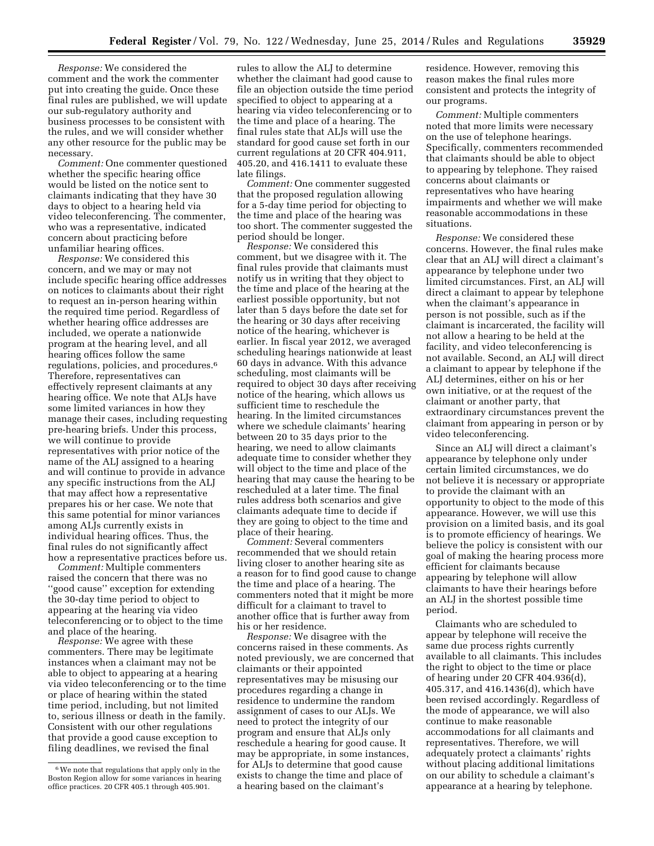*Response:* We considered the comment and the work the commenter put into creating the guide. Once these final rules are published, we will update our sub-regulatory authority and business processes to be consistent with the rules, and we will consider whether any other resource for the public may be necessary.

*Comment:* One commenter questioned whether the specific hearing office would be listed on the notice sent to claimants indicating that they have 30 days to object to a hearing held via video teleconferencing. The commenter, who was a representative, indicated concern about practicing before unfamiliar hearing offices.

*Response:* We considered this concern, and we may or may not include specific hearing office addresses on notices to claimants about their right to request an in-person hearing within the required time period. Regardless of whether hearing office addresses are included, we operate a nationwide program at the hearing level, and all hearing offices follow the same regulations, policies, and procedures.6 Therefore, representatives can effectively represent claimants at any hearing office. We note that ALJs have some limited variances in how they manage their cases, including requesting pre-hearing briefs. Under this process, we will continue to provide representatives with prior notice of the name of the ALJ assigned to a hearing and will continue to provide in advance any specific instructions from the ALJ that may affect how a representative prepares his or her case. We note that this same potential for minor variances among ALJs currently exists in individual hearing offices. Thus, the final rules do not significantly affect how a representative practices before us.

*Comment:* Multiple commenters raised the concern that there was no ''good cause'' exception for extending the 30-day time period to object to appearing at the hearing via video teleconferencing or to object to the time and place of the hearing.

*Response:* We agree with these commenters. There may be legitimate instances when a claimant may not be able to object to appearing at a hearing via video teleconferencing or to the time or place of hearing within the stated time period, including, but not limited to, serious illness or death in the family. Consistent with our other regulations that provide a good cause exception to filing deadlines, we revised the final

rules to allow the ALJ to determine whether the claimant had good cause to file an objection outside the time period specified to object to appearing at a hearing via video teleconferencing or to the time and place of a hearing. The final rules state that ALJs will use the standard for good cause set forth in our current regulations at 20 CFR 404.911, 405.20, and 416.1411 to evaluate these late filings.

*Comment:* One commenter suggested that the proposed regulation allowing for a 5-day time period for objecting to the time and place of the hearing was too short. The commenter suggested the period should be longer.

*Response:* We considered this comment, but we disagree with it. The final rules provide that claimants must notify us in writing that they object to the time and place of the hearing at the earliest possible opportunity, but not later than 5 days before the date set for the hearing or 30 days after receiving notice of the hearing, whichever is earlier. In fiscal year 2012, we averaged scheduling hearings nationwide at least 60 days in advance. With this advance scheduling, most claimants will be required to object 30 days after receiving notice of the hearing, which allows us sufficient time to reschedule the hearing. In the limited circumstances where we schedule claimants' hearing between 20 to 35 days prior to the hearing, we need to allow claimants adequate time to consider whether they will object to the time and place of the hearing that may cause the hearing to be rescheduled at a later time. The final rules address both scenarios and give claimants adequate time to decide if they are going to object to the time and place of their hearing.

*Comment:* Several commenters recommended that we should retain living closer to another hearing site as a reason for to find good cause to change the time and place of a hearing. The commenters noted that it might be more difficult for a claimant to travel to another office that is further away from his or her residence.

*Response:* We disagree with the concerns raised in these comments. As noted previously, we are concerned that claimants or their appointed representatives may be misusing our procedures regarding a change in residence to undermine the random assignment of cases to our ALJs. We need to protect the integrity of our program and ensure that ALJs only reschedule a hearing for good cause. It may be appropriate, in some instances, for ALJs to determine that good cause exists to change the time and place of a hearing based on the claimant's

residence. However, removing this reason makes the final rules more consistent and protects the integrity of our programs.

*Comment:* Multiple commenters noted that more limits were necessary on the use of telephone hearings. Specifically, commenters recommended that claimants should be able to object to appearing by telephone. They raised concerns about claimants or representatives who have hearing impairments and whether we will make reasonable accommodations in these situations.

*Response:* We considered these concerns. However, the final rules make clear that an ALJ will direct a claimant's appearance by telephone under two limited circumstances. First, an ALJ will direct a claimant to appear by telephone when the claimant's appearance in person is not possible, such as if the claimant is incarcerated, the facility will not allow a hearing to be held at the facility, and video teleconferencing is not available. Second, an ALJ will direct a claimant to appear by telephone if the ALJ determines, either on his or her own initiative, or at the request of the claimant or another party, that extraordinary circumstances prevent the claimant from appearing in person or by video teleconferencing.

Since an ALJ will direct a claimant's appearance by telephone only under certain limited circumstances, we do not believe it is necessary or appropriate to provide the claimant with an opportunity to object to the mode of this appearance. However, we will use this provision on a limited basis, and its goal is to promote efficiency of hearings. We believe the policy is consistent with our goal of making the hearing process more efficient for claimants because appearing by telephone will allow claimants to have their hearings before an ALJ in the shortest possible time period.

Claimants who are scheduled to appear by telephone will receive the same due process rights currently available to all claimants. This includes the right to object to the time or place of hearing under 20 CFR 404.936(d), 405.317, and 416.1436(d), which have been revised accordingly. Regardless of the mode of appearance, we will also continue to make reasonable accommodations for all claimants and representatives. Therefore, we will adequately protect a claimants' rights without placing additional limitations on our ability to schedule a claimant's appearance at a hearing by telephone.

<sup>6</sup>We note that regulations that apply only in the Boston Region allow for some variances in hearing office practices. 20 CFR 405.1 through 405.901.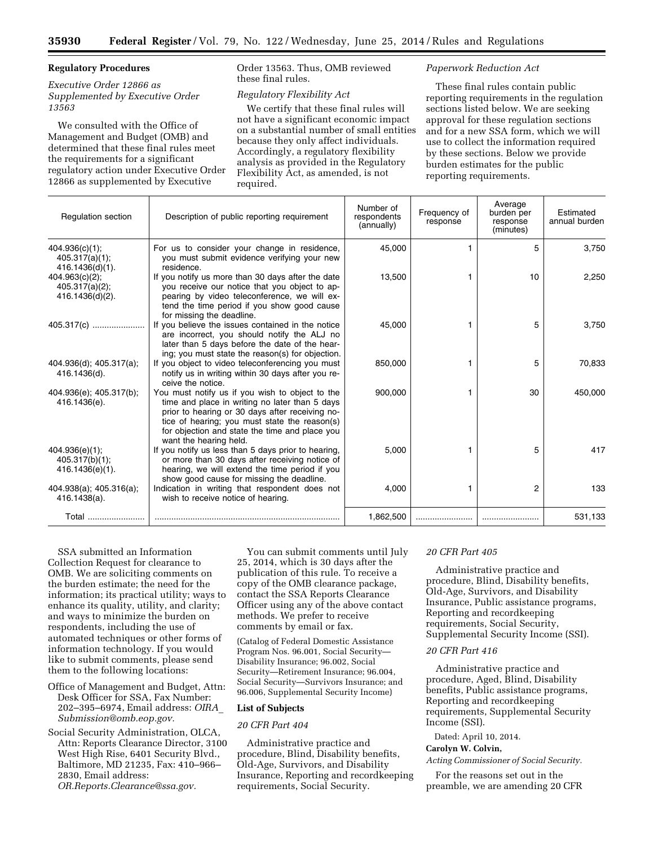## **Regulatory Procedures**

## *Executive Order 12866 as Supplemented by Executive Order 13563*

We consulted with the Office of Management and Budget (OMB) and determined that these final rules meet the requirements for a significant regulatory action under Executive Order 12866 as supplemented by Executive

Order 13563. Thus, OMB reviewed these final rules.

## *Regulatory Flexibility Act*

We certify that these final rules will not have a significant economic impact on a substantial number of small entities because they only affect individuals. Accordingly, a regulatory flexibility analysis as provided in the Regulatory Flexibility Act, as amended, is not required.

#### *Paperwork Reduction Act*

These final rules contain public reporting requirements in the regulation sections listed below. We are seeking approval for these regulation sections and for a new SSA form, which we will use to collect the information required by these sections. Below we provide burden estimates for the public reporting requirements.

| Regulation section                                           | Description of public reporting requirement                                                                                                                                                                                                                                       | Number of<br>respondents<br>(annually) | Frequency of<br>response | Average<br>burden per<br>response<br>(minutes) | Estimated<br>annual burden |
|--------------------------------------------------------------|-----------------------------------------------------------------------------------------------------------------------------------------------------------------------------------------------------------------------------------------------------------------------------------|----------------------------------------|--------------------------|------------------------------------------------|----------------------------|
| $404.936(c)(1)$ ;<br>405.317(a)(1);<br>416.1436(d)(1).       | For us to consider your change in residence,<br>you must submit evidence verifying your new<br>residence.                                                                                                                                                                         | 45,000                                 |                          | 5                                              | 3,750                      |
| 404.963(c)(2);<br>405.317(a)(2);<br>416.1436(d)(2).          | If you notify us more than 30 days after the date<br>you receive our notice that you object to ap-<br>pearing by video teleconference, we will ex-<br>tend the time period if you show good cause<br>for missing the deadline.                                                    | 13,500                                 |                          | 10                                             | 2,250                      |
|                                                              | If you believe the issues contained in the notice<br>are incorrect, you should notify the ALJ no<br>later than 5 days before the date of the hear-<br>ing; you must state the reason(s) for objection.                                                                            | 45,000                                 |                          | 5                                              | 3,750                      |
| 404.936(d); 405.317(a);<br>416.1436(d).                      | If you object to video teleconferencing you must<br>notify us in writing within 30 days after you re-<br>ceive the notice.                                                                                                                                                        | 850,000                                |                          | 5                                              | 70,833                     |
| 404.936(e); 405.317(b);<br>416.1436(e).                      | You must notify us if you wish to object to the<br>time and place in writing no later than 5 days<br>prior to hearing or 30 days after receiving no-<br>tice of hearing; you must state the reason(s)<br>for objection and state the time and place you<br>want the hearing held. | 900,000                                |                          | 30                                             | 450,000                    |
| $404.936(e)(1)$ ;<br>$405.317(b)(1)$ ;<br>$416.1436(e)(1)$ . | If you notify us less than 5 days prior to hearing,<br>or more than 30 days after receiving notice of<br>hearing, we will extend the time period if you<br>show good cause for missing the deadline.                                                                              | 5,000                                  |                          | 5                                              | 417                        |
| 404.938(a); 405.316(a);<br>$416.1438(a)$ .                   | Indication in writing that respondent does not<br>wish to receive notice of hearing.                                                                                                                                                                                              | 4,000                                  |                          | 2                                              | 133                        |
| Total                                                        |                                                                                                                                                                                                                                                                                   | 1,862,500                              |                          |                                                | 531,133                    |

SSA submitted an Information Collection Request for clearance to OMB. We are soliciting comments on the burden estimate; the need for the information; its practical utility; ways to enhance its quality, utility, and clarity; and ways to minimize the burden on respondents, including the use of automated techniques or other forms of information technology. If you would like to submit comments, please send them to the following locations:

Office of Management and Budget, Attn: Desk Officer for SSA, Fax Number: 202–395–6974, Email address: *[OIRA](mailto:OIRA_Submission@omb.eop.gov)*\_ *[Submission@omb.eop.gov.](mailto:OIRA_Submission@omb.eop.gov)* 

Social Security Administration, OLCA, Attn: Reports Clearance Director, 3100 West High Rise, 6401 Security Blvd., Baltimore, MD 21235, Fax: 410–966– 2830, Email address: *[OR.Reports.Clearance@ssa.gov.](mailto:OR.Reports.Clearance@ssa.gov)* 

You can submit comments until July 25, 2014, which is 30 days after the publication of this rule. To receive a copy of the OMB clearance package, contact the SSA Reports Clearance Officer using any of the above contact methods. We prefer to receive comments by email or fax.

(Catalog of Federal Domestic Assistance Program Nos. 96.001, Social Security— Disability Insurance; 96.002, Social Security—Retirement Insurance; 96.004, Social Security—Survivors Insurance; and 96.006, Supplemental Security Income)

#### **List of Subjects**

#### *20 CFR Part 404*

Administrative practice and procedure, Blind, Disability benefits, Old-Age, Survivors, and Disability Insurance, Reporting and recordkeeping requirements, Social Security.

## *20 CFR Part 405*

Administrative practice and procedure, Blind, Disability benefits, Old-Age, Survivors, and Disability Insurance, Public assistance programs, Reporting and recordkeeping requirements, Social Security, Supplemental Security Income (SSI).

## *20 CFR Part 416*

Administrative practice and procedure, Aged, Blind, Disability benefits, Public assistance programs, Reporting and recordkeeping requirements, Supplemental Security Income (SSI).

Dated: April 10, 2014.

#### **Carolyn W. Colvin,**

*Acting Commissioner of Social Security.* 

For the reasons set out in the preamble, we are amending 20 CFR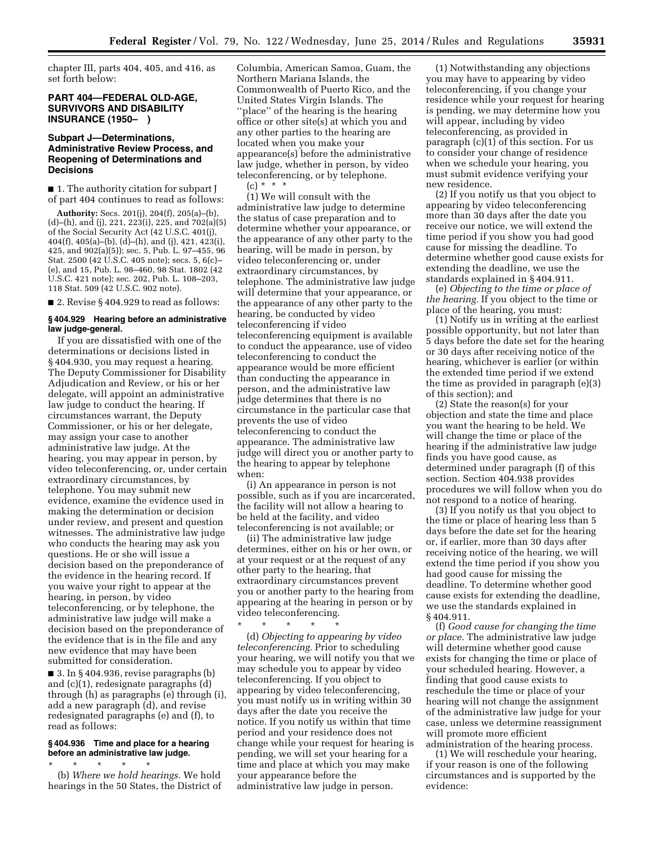chapter III, parts 404, 405, and 416, as set forth below:

## **PART 404—FEDERAL OLD-AGE, SURVIVORS AND DISABILITY INSURANCE (1950– )**

## **Subpart J—Determinations, Administrative Review Process, and Reopening of Determinations and Decisions**

■ 1. The authority citation for subpart J of part 404 continues to read as follows:

**Authority:** Secs. 201(j), 204(f), 205(a)–(b), (d)–(h), and (j), 221, 223(i), 225, and  $702(a)(5)$ of the Social Security Act (42 U.S.C. 401(j), 404(f), 405(a)–(b), (d)–(h), and (j), 421, 423(i), 425, and 902(a)(5)); sec. 5, Pub. L. 97–455, 96 Stat. 2500 (42 U.S.C. 405 note); secs. 5, 6(c)– (e), and 15, Pub. L. 98–460, 98 Stat. 1802 (42 U.S.C. 421 note); sec. 202, Pub. L. 108–203, 118 Stat. 509 (42 U.S.C. 902 note).

■ 2. Revise § 404.929 to read as follows:

#### **§ 404.929 Hearing before an administrative law judge-general.**

If you are dissatisfied with one of the determinations or decisions listed in § 404.930, you may request a hearing. The Deputy Commissioner for Disability Adjudication and Review, or his or her delegate, will appoint an administrative law judge to conduct the hearing. If circumstances warrant, the Deputy Commissioner, or his or her delegate, may assign your case to another administrative law judge. At the hearing, you may appear in person, by video teleconferencing, or, under certain extraordinary circumstances, by telephone. You may submit new evidence, examine the evidence used in making the determination or decision under review, and present and question witnesses. The administrative law judge who conducts the hearing may ask you questions. He or she will issue a decision based on the preponderance of the evidence in the hearing record. If you waive your right to appear at the hearing, in person, by video teleconferencing, or by telephone, the administrative law judge will make a decision based on the preponderance of the evidence that is in the file and any new evidence that may have been submitted for consideration.

 $\blacksquare$  3. In § 404.936, revise paragraphs (b) and (c)(1), redesignate paragraphs (d) through (h) as paragraphs (e) through (i), add a new paragraph (d), and revise redesignated paragraphs (e) and (f), to read as follows:

## **§ 404.936 Time and place for a hearing before an administrative law judge.**

\* \* \* \* \* (b) *Where we hold hearings.* We hold hearings in the 50 States, the District of

Columbia, American Samoa, Guam, the Northern Mariana Islands, the Commonwealth of Puerto Rico, and the United States Virgin Islands. The ''place'' of the hearing is the hearing office or other site(s) at which you and any other parties to the hearing are located when you make your appearance(s) before the administrative law judge, whether in person, by video teleconferencing, or by telephone.  $(c) * * * *$ 

(1) We will consult with the administrative law judge to determine the status of case preparation and to determine whether your appearance, or the appearance of any other party to the hearing, will be made in person, by video teleconferencing or, under extraordinary circumstances, by telephone. The administrative law judge will determine that your appearance, or the appearance of any other party to the hearing, be conducted by video teleconferencing if video teleconferencing equipment is available to conduct the appearance, use of video teleconferencing to conduct the appearance would be more efficient than conducting the appearance in person, and the administrative law judge determines that there is no circumstance in the particular case that prevents the use of video teleconferencing to conduct the appearance. The administrative law judge will direct you or another party to the hearing to appear by telephone when:

(i) An appearance in person is not possible, such as if you are incarcerated, the facility will not allow a hearing to be held at the facility, and video teleconferencing is not available; or

(ii) The administrative law judge determines, either on his or her own, or at your request or at the request of any other party to the hearing, that extraordinary circumstances prevent you or another party to the hearing from appearing at the hearing in person or by video teleconferencing.

\* \* \* \* \* (d) *Objecting to appearing by video teleconferencing.* Prior to scheduling your hearing, we will notify you that we may schedule you to appear by video teleconferencing. If you object to appearing by video teleconferencing, you must notify us in writing within 30 days after the date you receive the notice. If you notify us within that time period and your residence does not change while your request for hearing is pending, we will set your hearing for a time and place at which you may make your appearance before the administrative law judge in person.

(1) Notwithstanding any objections you may have to appearing by video teleconferencing, if you change your residence while your request for hearing is pending, we may determine how you will appear, including by video teleconferencing, as provided in paragraph (c)(1) of this section. For us to consider your change of residence when we schedule your hearing, you must submit evidence verifying your new residence.

(2) If you notify us that you object to appearing by video teleconferencing more than 30 days after the date you receive our notice, we will extend the time period if you show you had good cause for missing the deadline. To determine whether good cause exists for extending the deadline, we use the standards explained in § 404.911.

(e) *Objecting to the time or place of the hearing.* If you object to the time or place of the hearing, you must:

(1) Notify us in writing at the earliest possible opportunity, but not later than 5 days before the date set for the hearing or 30 days after receiving notice of the hearing, whichever is earlier (or within the extended time period if we extend the time as provided in paragraph (e)(3) of this section); and

(2) State the reason(s) for your objection and state the time and place you want the hearing to be held. We will change the time or place of the hearing if the administrative law judge finds you have good cause, as determined under paragraph (f) of this section. Section 404.938 provides procedures we will follow when you do not respond to a notice of hearing.

(3) If you notify us that you object to the time or place of hearing less than 5 days before the date set for the hearing or, if earlier, more than 30 days after receiving notice of the hearing, we will extend the time period if you show you had good cause for missing the deadline. To determine whether good cause exists for extending the deadline, we use the standards explained in § 404.911.

(f) *Good cause for changing the time or place.* The administrative law judge will determine whether good cause exists for changing the time or place of your scheduled hearing. However, a finding that good cause exists to reschedule the time or place of your hearing will not change the assignment of the administrative law judge for your case, unless we determine reassignment will promote more efficient administration of the hearing process.

(1) We will reschedule your hearing, if your reason is one of the following circumstances and is supported by the evidence: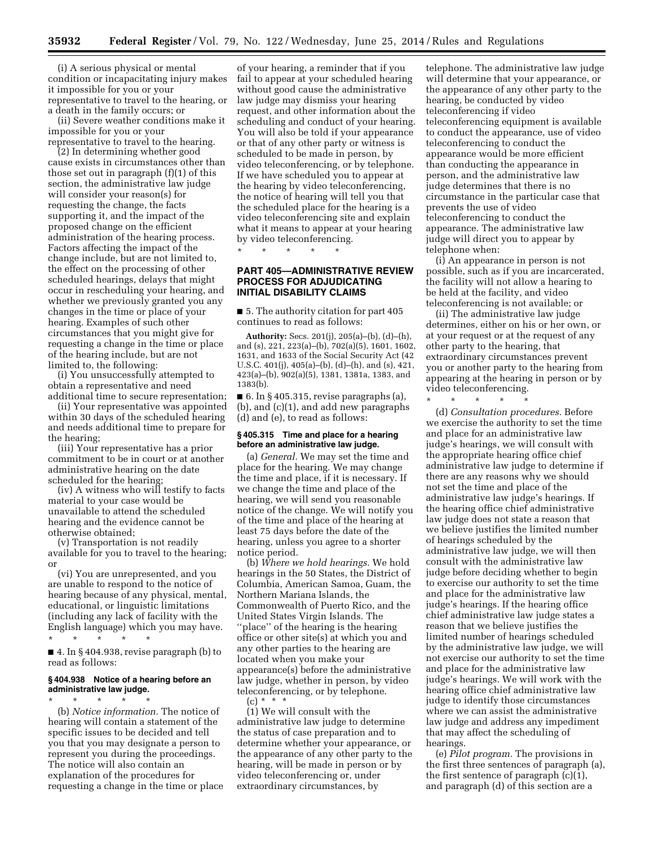(i) A serious physical or mental condition or incapacitating injury makes it impossible for you or your representative to travel to the hearing, or a death in the family occurs; or

(ii) Severe weather conditions make it impossible for you or your

representative to travel to the hearing. (2) In determining whether good

cause exists in circumstances other than those set out in paragraph (f)(1) of this section, the administrative law judge will consider your reason(s) for requesting the change, the facts supporting it, and the impact of the proposed change on the efficient administration of the hearing process. Factors affecting the impact of the change include, but are not limited to, the effect on the processing of other scheduled hearings, delays that might occur in rescheduling your hearing, and whether we previously granted you any changes in the time or place of your hearing. Examples of such other circumstances that you might give for requesting a change in the time or place of the hearing include, but are not limited to, the following:

(i) You unsuccessfully attempted to obtain a representative and need additional time to secure representation;

(ii) Your representative was appointed within 30 days of the scheduled hearing and needs additional time to prepare for the hearing;

(iii) Your representative has a prior commitment to be in court or at another administrative hearing on the date scheduled for the hearing;

(iv) A witness who will testify to facts material to your case would be unavailable to attend the scheduled hearing and the evidence cannot be otherwise obtained;

(v) Transportation is not readily available for you to travel to the hearing; or

(vi) You are unrepresented, and you are unable to respond to the notice of hearing because of any physical, mental, educational, or linguistic limitations (including any lack of facility with the English language) which you may have.

\* \* \* \* \*

■ 4. In § 404.938, revise paragraph (b) to read as follows:

## **§ 404.938 Notice of a hearing before an administrative law judge.**

\* \* \* \* \* (b) *Notice information.* The notice of hearing will contain a statement of the specific issues to be decided and tell you that you may designate a person to represent you during the proceedings. The notice will also contain an explanation of the procedures for requesting a change in the time or place

of your hearing, a reminder that if you fail to appear at your scheduled hearing without good cause the administrative law judge may dismiss your hearing request, and other information about the scheduling and conduct of your hearing. You will also be told if your appearance or that of any other party or witness is scheduled to be made in person, by video teleconferencing, or by telephone. If we have scheduled you to appear at the hearing by video teleconferencing, the notice of hearing will tell you that the scheduled place for the hearing is a video teleconferencing site and explain what it means to appear at your hearing by video teleconferencing.

\* \* \* \* \*

## **PART 405—ADMINISTRATIVE REVIEW PROCESS FOR ADJUDICATING INITIAL DISABILITY CLAIMS**

■ 5. The authority citation for part 405 continues to read as follows:

**Authority:** Secs. 201(j), 205(a)–(b), (d)–(h), and (s), 221, 223(a)–(b), 702(a)(5), 1601, 1602, 1631, and 1633 of the Social Security Act (42 U.S.C. 401(j), 405(a)–(b), (d)–(h), and (s), 421, 423(a)–(b), 902(a)(5), 1381, 1381a, 1383, and 1383(b).

 $\blacksquare$  6. In § 405.315, revise paragraphs (a), (b), and (c)(1), and add new paragraphs (d) and (e), to read as follows:

#### **§ 405.315 Time and place for a hearing before an administrative law judge.**

(a) *General.* We may set the time and place for the hearing. We may change the time and place, if it is necessary. If we change the time and place of the hearing, we will send you reasonable notice of the change. We will notify you of the time and place of the hearing at least 75 days before the date of the hearing, unless you agree to a shorter notice period.

(b) *Where we hold hearings.* We hold hearings in the 50 States, the District of Columbia, American Samoa, Guam, the Northern Mariana Islands, the Commonwealth of Puerto Rico, and the United States Virgin Islands. The ''place'' of the hearing is the hearing office or other site(s) at which you and any other parties to the hearing are located when you make your appearance(s) before the administrative law judge, whether in person, by video teleconferencing, or by telephone.  $(c) * * * *$ 

(1) We will consult with the administrative law judge to determine the status of case preparation and to determine whether your appearance, or the appearance of any other party to the hearing, will be made in person or by video teleconferencing or, under extraordinary circumstances, by

telephone. The administrative law judge will determine that your appearance, or the appearance of any other party to the hearing, be conducted by video teleconferencing if video teleconferencing equipment is available to conduct the appearance, use of video teleconferencing to conduct the appearance would be more efficient than conducting the appearance in person, and the administrative law judge determines that there is no circumstance in the particular case that prevents the use of video teleconferencing to conduct the appearance. The administrative law judge will direct you to appear by telephone when:

(i) An appearance in person is not possible, such as if you are incarcerated, the facility will not allow a hearing to be held at the facility, and video teleconferencing is not available; or

(ii) The administrative law judge determines, either on his or her own, or at your request or at the request of any other party to the hearing, that extraordinary circumstances prevent you or another party to the hearing from appearing at the hearing in person or by video teleconferencing.

\* \* \* \* \*

(d) *Consultation procedures.* Before we exercise the authority to set the time and place for an administrative law judge's hearings, we will consult with the appropriate hearing office chief administrative law judge to determine if there are any reasons why we should not set the time and place of the administrative law judge's hearings. If the hearing office chief administrative law judge does not state a reason that we believe justifies the limited number of hearings scheduled by the administrative law judge, we will then consult with the administrative law judge before deciding whether to begin to exercise our authority to set the time and place for the administrative law judge's hearings. If the hearing office chief administrative law judge states a reason that we believe justifies the limited number of hearings scheduled by the administrative law judge, we will not exercise our authority to set the time and place for the administrative law judge's hearings. We will work with the hearing office chief administrative law judge to identify those circumstances where we can assist the administrative law judge and address any impediment that may affect the scheduling of hearings.

(e) *Pilot program.* The provisions in the first three sentences of paragraph (a), the first sentence of paragraph (c)(1), and paragraph (d) of this section are a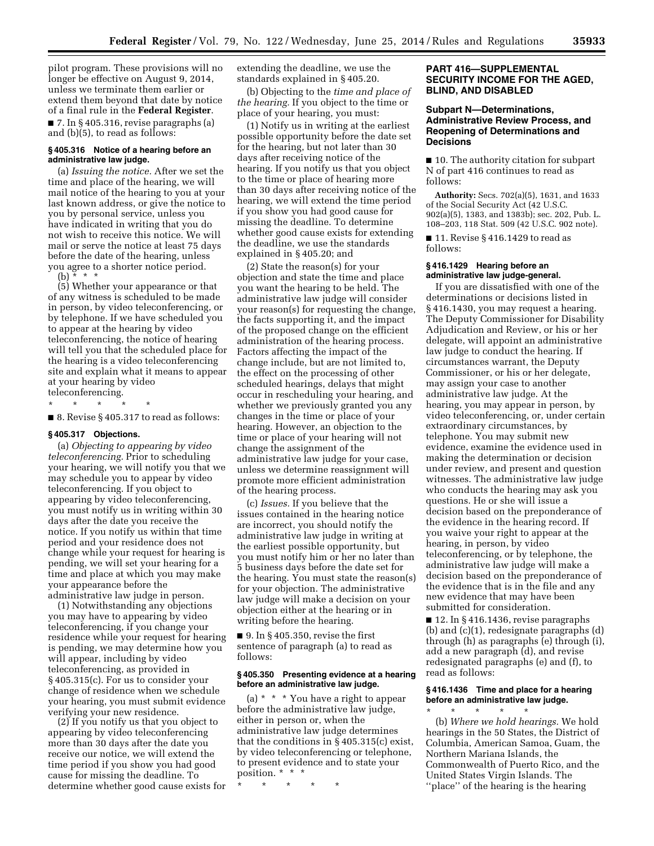pilot program. These provisions will no longer be effective on August 9, 2014, unless we terminate them earlier or extend them beyond that date by notice of a final rule in the **Federal Register**. ■ 7. In § 405.316, revise paragraphs (a) and (b)(5), to read as follows:

## **§ 405.316 Notice of a hearing before an administrative law judge.**

(a) *Issuing the notice.* After we set the time and place of the hearing, we will mail notice of the hearing to you at your last known address, or give the notice to you by personal service, unless you have indicated in writing that you do not wish to receive this notice. We will mail or serve the notice at least 75 days before the date of the hearing, unless you agree to a shorter notice period.

(b)  $* * * *$ 

(5) Whether your appearance or that of any witness is scheduled to be made in person, by video teleconferencing, or by telephone. If we have scheduled you to appear at the hearing by video teleconferencing, the notice of hearing will tell you that the scheduled place for the hearing is a video teleconferencing site and explain what it means to appear at your hearing by video teleconferencing.

\* \* \* \* \*

■ 8. Revise § 405.317 to read as follows:

#### **§ 405.317 Objections.**

(a) *Objecting to appearing by video teleconferencing.* Prior to scheduling your hearing, we will notify you that we may schedule you to appear by video teleconferencing. If you object to appearing by video teleconferencing, you must notify us in writing within 30 days after the date you receive the notice. If you notify us within that time period and your residence does not change while your request for hearing is pending, we will set your hearing for a time and place at which you may make your appearance before the administrative law judge in person.

(1) Notwithstanding any objections you may have to appearing by video teleconferencing, if you change your residence while your request for hearing is pending, we may determine how you will appear, including by video teleconferencing, as provided in § 405.315(c). For us to consider your change of residence when we schedule your hearing, you must submit evidence verifying your new residence.

(2) If you notify us that you object to appearing by video teleconferencing more than 30 days after the date you receive our notice, we will extend the time period if you show you had good cause for missing the deadline. To determine whether good cause exists for extending the deadline, we use the standards explained in § 405.20.

(b) Objecting to the *time and place of the hearing.* If you object to the time or place of your hearing, you must:

(1) Notify us in writing at the earliest possible opportunity before the date set for the hearing, but not later than 30 days after receiving notice of the hearing. If you notify us that you object to the time or place of hearing more than 30 days after receiving notice of the hearing, we will extend the time period if you show you had good cause for missing the deadline. To determine whether good cause exists for extending the deadline, we use the standards explained in § 405.20; and

(2) State the reason(s) for your objection and state the time and place you want the hearing to be held. The administrative law judge will consider your reason(s) for requesting the change, the facts supporting it, and the impact of the proposed change on the efficient administration of the hearing process. Factors affecting the impact of the change include, but are not limited to, the effect on the processing of other scheduled hearings, delays that might occur in rescheduling your hearing, and whether we previously granted you any changes in the time or place of your hearing. However, an objection to the time or place of your hearing will not change the assignment of the administrative law judge for your case, unless we determine reassignment will promote more efficient administration of the hearing process.

(c) *Issues.* If you believe that the issues contained in the hearing notice are incorrect, you should notify the administrative law judge in writing at the earliest possible opportunity, but you must notify him or her no later than 5 business days before the date set for the hearing. You must state the reason(s) for your objection. The administrative law judge will make a decision on your objection either at the hearing or in writing before the hearing.

■ 9. In §405.350, revise the first sentence of paragraph (a) to read as follows:

#### **§ 405.350 Presenting evidence at a hearing before an administrative law judge.**

(a) \* \* \* You have a right to appear before the administrative law judge, either in person or, when the administrative law judge determines that the conditions in § 405.315(c) exist, by video teleconferencing or telephone, to present evidence and to state your position. \* \* \*

\* \* \* \* \*

## **PART 416—SUPPLEMENTAL SECURITY INCOME FOR THE AGED, BLIND, AND DISABLED**

## **Subpart N—Determinations, Administrative Review Process, and Reopening of Determinations and Decisions**

■ 10. The authority citation for subpart N of part 416 continues to read as follows:

**Authority:** Secs. 702(a)(5), 1631, and 1633 of the Social Security Act (42 U.S.C. 902(a)(5), 1383, and 1383b); sec. 202, Pub. L. 108–203, 118 Stat. 509 (42 U.S.C. 902 note).

■ 11. Revise § 416.1429 to read as follows:

#### **§ 416.1429 Hearing before an administrative law judge-general.**

If you are dissatisfied with one of the determinations or decisions listed in § 416.1430, you may request a hearing. The Deputy Commissioner for Disability Adjudication and Review, or his or her delegate, will appoint an administrative law judge to conduct the hearing. If circumstances warrant, the Deputy Commissioner, or his or her delegate, may assign your case to another administrative law judge. At the hearing, you may appear in person, by video teleconferencing, or, under certain extraordinary circumstances, by telephone. You may submit new evidence, examine the evidence used in making the determination or decision under review, and present and question witnesses. The administrative law judge who conducts the hearing may ask you questions. He or she will issue a decision based on the preponderance of the evidence in the hearing record. If you waive your right to appear at the hearing, in person, by video teleconferencing, or by telephone, the administrative law judge will make a decision based on the preponderance of the evidence that is in the file and any new evidence that may have been submitted for consideration.

■ 12. In § 416.1436, revise paragraphs (b) and (c)(1), redesignate paragraphs (d) through (h) as paragraphs (e) through (i), add a new paragraph (d), and revise redesignated paragraphs (e) and (f), to read as follows:

#### **§ 416.1436 Time and place for a hearing before an administrative law judge.**

\* \* \* \* \* (b) *Where we hold hearings.* We hold hearings in the 50 States, the District of Columbia, American Samoa, Guam, the Northern Mariana Islands, the Commonwealth of Puerto Rico, and the United States Virgin Islands. The ''place'' of the hearing is the hearing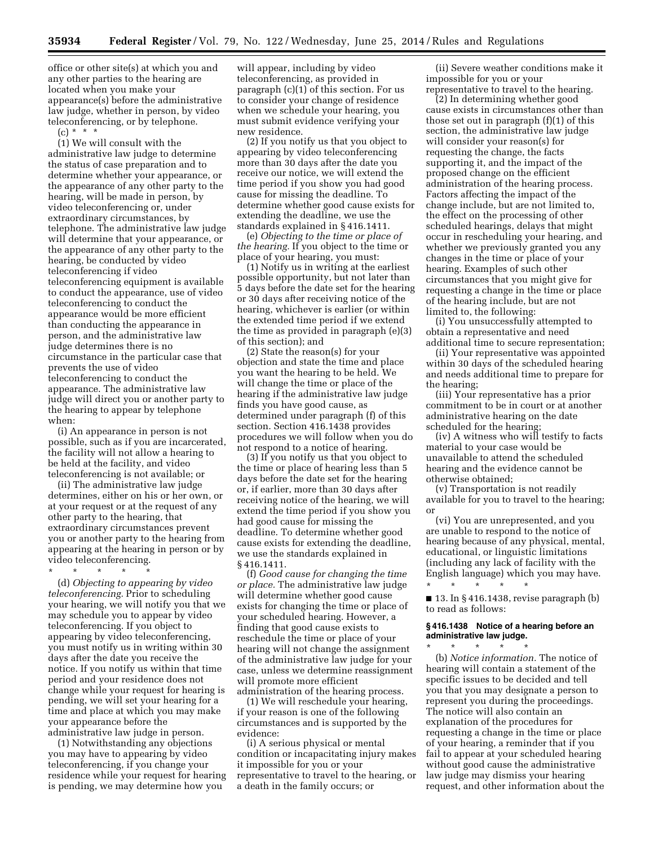office or other site(s) at which you and any other parties to the hearing are located when you make your appearance(s) before the administrative law judge, whether in person, by video teleconferencing, or by telephone.

 $(c) * * * *$ 

(1) We will consult with the administrative law judge to determine the status of case preparation and to determine whether your appearance, or the appearance of any other party to the hearing, will be made in person, by video teleconferencing or, under extraordinary circumstances, by telephone. The administrative law judge will determine that your appearance, or the appearance of any other party to the hearing, be conducted by video teleconferencing if video teleconferencing equipment is available to conduct the appearance, use of video teleconferencing to conduct the appearance would be more efficient than conducting the appearance in person, and the administrative law judge determines there is no circumstance in the particular case that prevents the use of video teleconferencing to conduct the appearance. The administrative law judge will direct you or another party to the hearing to appear by telephone when:

(i) An appearance in person is not possible, such as if you are incarcerated, the facility will not allow a hearing to be held at the facility, and video teleconferencing is not available; or

(ii) The administrative law judge determines, either on his or her own, or at your request or at the request of any other party to the hearing, that extraordinary circumstances prevent you or another party to the hearing from appearing at the hearing in person or by video teleconferencing.

\* \* \* \* \*

(d) *Objecting to appearing by video teleconferencing.* Prior to scheduling your hearing, we will notify you that we may schedule you to appear by video teleconferencing. If you object to appearing by video teleconferencing, you must notify us in writing within 30 days after the date you receive the notice. If you notify us within that time period and your residence does not change while your request for hearing is pending, we will set your hearing for a time and place at which you may make your appearance before the administrative law judge in person.

(1) Notwithstanding any objections you may have to appearing by video teleconferencing, if you change your residence while your request for hearing is pending, we may determine how you

will appear, including by video teleconferencing, as provided in paragraph (c)(1) of this section. For us to consider your change of residence when we schedule your hearing, you must submit evidence verifying your new residence.

(2) If you notify us that you object to appearing by video teleconferencing more than 30 days after the date you receive our notice, we will extend the time period if you show you had good cause for missing the deadline. To determine whether good cause exists for extending the deadline, we use the standards explained in § 416.1411.

(e) *Objecting to the time or place of the hearing.* If you object to the time or place of your hearing, you must:

(1) Notify us in writing at the earliest possible opportunity, but not later than 5 days before the date set for the hearing or 30 days after receiving notice of the hearing, whichever is earlier (or within the extended time period if we extend the time as provided in paragraph (e)(3) of this section); and

(2) State the reason(s) for your objection and state the time and place you want the hearing to be held. We will change the time or place of the hearing if the administrative law judge finds you have good cause, as determined under paragraph (f) of this section. Section 416.1438 provides procedures we will follow when you do not respond to a notice of hearing.

(3) If you notify us that you object to the time or place of hearing less than 5 days before the date set for the hearing or, if earlier, more than 30 days after receiving notice of the hearing, we will extend the time period if you show you had good cause for missing the deadline. To determine whether good cause exists for extending the deadline, we use the standards explained in § 416.1411.

(f) *Good cause for changing the time or place.* The administrative law judge will determine whether good cause exists for changing the time or place of your scheduled hearing. However, a finding that good cause exists to reschedule the time or place of your hearing will not change the assignment of the administrative law judge for your case, unless we determine reassignment will promote more efficient administration of the hearing process.

(1) We will reschedule your hearing, if your reason is one of the following circumstances and is supported by the evidence:

(i) A serious physical or mental condition or incapacitating injury makes it impossible for you or your representative to travel to the hearing, or a death in the family occurs; or

(ii) Severe weather conditions make it impossible for you or your representative to travel to the hearing.

(2) In determining whether good cause exists in circumstances other than those set out in paragraph (f)(1) of this section, the administrative law judge will consider your reason(s) for requesting the change, the facts supporting it, and the impact of the proposed change on the efficient administration of the hearing process. Factors affecting the impact of the change include, but are not limited to, the effect on the processing of other scheduled hearings, delays that might occur in rescheduling your hearing, and whether we previously granted you any changes in the time or place of your hearing. Examples of such other circumstances that you might give for requesting a change in the time or place of the hearing include, but are not limited to, the following:

(i) You unsuccessfully attempted to obtain a representative and need additional time to secure representation;

(ii) Your representative was appointed within 30 days of the scheduled hearing and needs additional time to prepare for the hearing;

(iii) Your representative has a prior commitment to be in court or at another administrative hearing on the date scheduled for the hearing;

(iv) A witness who will testify to facts material to your case would be unavailable to attend the scheduled hearing and the evidence cannot be otherwise obtained;

(v) Transportation is not readily available for you to travel to the hearing; or

(vi) You are unrepresented, and you are unable to respond to the notice of hearing because of any physical, mental, educational, or linguistic limitations (including any lack of facility with the English language) which you may have. \* \* \* \* \*

■ 13. In § 416.1438, revise paragraph (b) to read as follows:

#### **§ 416.1438 Notice of a hearing before an administrative law judge.**

\* \* \* \* \* (b) *Notice information.* The notice of hearing will contain a statement of the specific issues to be decided and tell you that you may designate a person to represent you during the proceedings. The notice will also contain an explanation of the procedures for requesting a change in the time or place of your hearing, a reminder that if you fail to appear at your scheduled hearing without good cause the administrative law judge may dismiss your hearing request, and other information about the